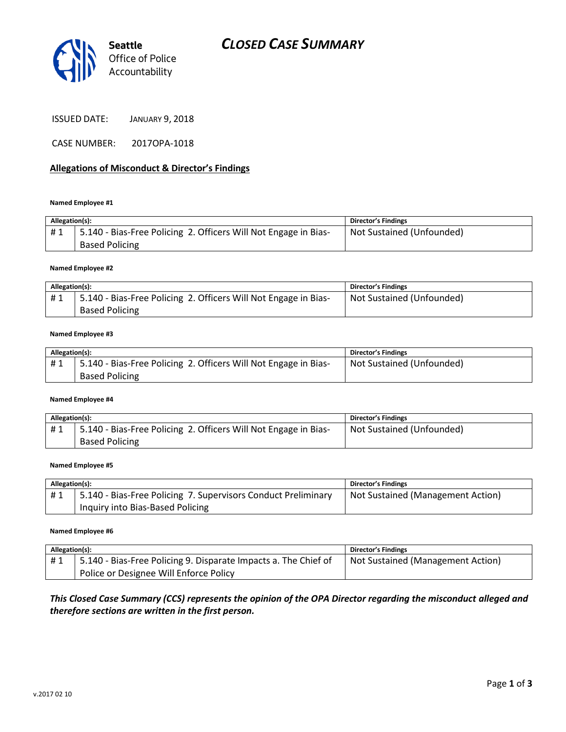

| <b>JANUARY 9, 2018</b> |
|------------------------|
|                        |

CASE NUMBER: 2017OPA-1018

## **Allegations of Misconduct & Director's Findings**

### **Named Employee #1**

| Allegation(s): |                                                                 | <b>Director's Findings</b> |
|----------------|-----------------------------------------------------------------|----------------------------|
| #1             | 5.140 - Bias-Free Policing 2. Officers Will Not Engage in Bias- | Not Sustained (Unfounded)  |
|                | <b>Based Policing</b>                                           |                            |

### **Named Employee #2**

| Allegation(s): |                                                                 | Director's Findings       |
|----------------|-----------------------------------------------------------------|---------------------------|
| #1             | 5.140 - Bias-Free Policing 2. Officers Will Not Engage in Bias- | Not Sustained (Unfounded) |
|                | <b>Based Policing</b>                                           |                           |

### **Named Employee #3**

| Allegation(s): |                                                                 | <b>Director's Findings</b> |
|----------------|-----------------------------------------------------------------|----------------------------|
| #1             | 5.140 - Bias-Free Policing 2. Officers Will Not Engage in Bias- | Not Sustained (Unfounded)  |
|                | <b>Based Policing</b>                                           |                            |

### **Named Employee #4**

| Allegation(s): |                                                                 | <b>Director's Findings</b> |
|----------------|-----------------------------------------------------------------|----------------------------|
| #1             | 5.140 - Bias-Free Policing 2. Officers Will Not Engage in Bias- | Not Sustained (Unfounded)  |
|                | <b>Based Policing</b>                                           |                            |

### **Named Employee #5**

| Allegation(s): |                                                               | <b>Director's Findings</b>        |
|----------------|---------------------------------------------------------------|-----------------------------------|
| #1             | 5.140 - Bias-Free Policing 7. Supervisors Conduct Preliminary | Not Sustained (Management Action) |
|                | Inquiry into Bias-Based Policing                              |                                   |

### **Named Employee #6**

| Allegation(s): |                                                                 | <b>Director's Findings</b>        |
|----------------|-----------------------------------------------------------------|-----------------------------------|
| #1             | 5.140 - Bias-Free Policing 9. Disparate Impacts a. The Chief of | Not Sustained (Management Action) |
|                | Police or Designee Will Enforce Policy                          |                                   |

## *This Closed Case Summary (CCS) represents the opinion of the OPA Director regarding the misconduct alleged and therefore sections are written in the first person.*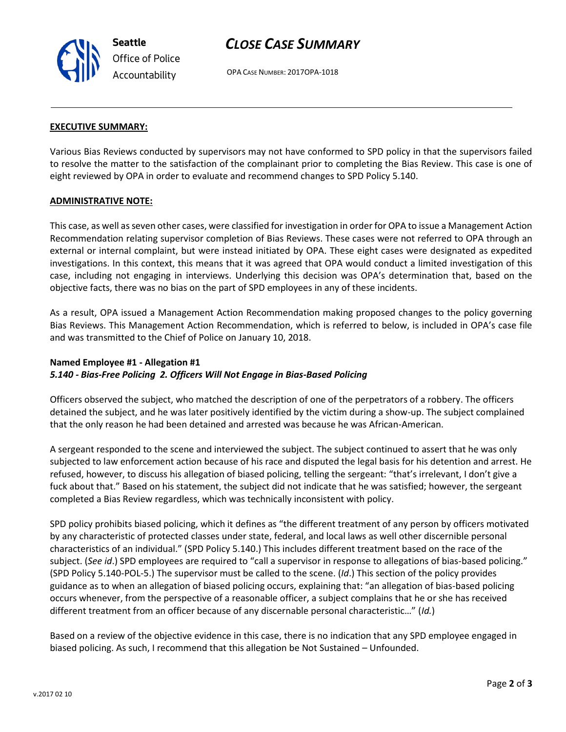

# *CLOSE CASE SUMMARY*

OPA CASE NUMBER: 2017OPA-1018

## **EXECUTIVE SUMMARY:**

Various Bias Reviews conducted by supervisors may not have conformed to SPD policy in that the supervisors failed to resolve the matter to the satisfaction of the complainant prior to completing the Bias Review. This case is one of eight reviewed by OPA in order to evaluate and recommend changes to SPD Policy 5.140.

### **ADMINISTRATIVE NOTE:**

This case, as well as seven other cases, were classified for investigation in order for OPA to issue a Management Action Recommendation relating supervisor completion of Bias Reviews. These cases were not referred to OPA through an external or internal complaint, but were instead initiated by OPA. These eight cases were designated as expedited investigations. In this context, this means that it was agreed that OPA would conduct a limited investigation of this case, including not engaging in interviews. Underlying this decision was OPA's determination that, based on the objective facts, there was no bias on the part of SPD employees in any of these incidents.

As a result, OPA issued a Management Action Recommendation making proposed changes to the policy governing Bias Reviews. This Management Action Recommendation, which is referred to below, is included in OPA's case file and was transmitted to the Chief of Police on January 10, 2018.

# **Named Employee #1 - Allegation #1** *5.140 - Bias-Free Policing 2. Officers Will Not Engage in Bias-Based Policing*

Officers observed the subject, who matched the description of one of the perpetrators of a robbery. The officers detained the subject, and he was later positively identified by the victim during a show-up. The subject complained that the only reason he had been detained and arrested was because he was African-American.

A sergeant responded to the scene and interviewed the subject. The subject continued to assert that he was only subjected to law enforcement action because of his race and disputed the legal basis for his detention and arrest. He refused, however, to discuss his allegation of biased policing, telling the sergeant: "that's irrelevant, I don't give a fuck about that." Based on his statement, the subject did not indicate that he was satisfied; however, the sergeant completed a Bias Review regardless, which was technically inconsistent with policy.

SPD policy prohibits biased policing, which it defines as "the different treatment of any person by officers motivated by any characteristic of protected classes under state, federal, and local laws as well other discernible personal characteristics of an individual." (SPD Policy 5.140.) This includes different treatment based on the race of the subject. (*See id*.) SPD employees are required to "call a supervisor in response to allegations of bias-based policing." (SPD Policy 5.140-POL-5.) The supervisor must be called to the scene. (*Id*.) This section of the policy provides guidance as to when an allegation of biased policing occurs, explaining that: "an allegation of bias-based policing occurs whenever, from the perspective of a reasonable officer, a subject complains that he or she has received different treatment from an officer because of any discernable personal characteristic…" (*Id.*)

Based on a review of the objective evidence in this case, there is no indication that any SPD employee engaged in biased policing. As such, I recommend that this allegation be Not Sustained – Unfounded.